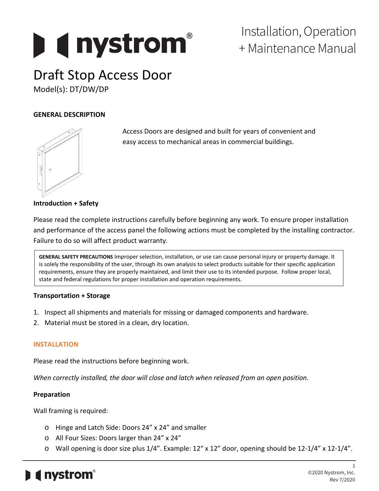# **Determinal property**

### Installation, Operation + Maintenance Manual

## Draft Stop Access Door

Model(s): DT/DW/DP

#### **GENERAL DESCRIPTION**



Access Doors are designed and built for years of convenient and easy access to mechanical areas in commercial buildings.

#### **Introduction + Safety**

Please read the complete instructions carefully before beginning any work. To ensure proper installation and performance of the access panel the following actions must be completed by the installing contractor. Failure to do so will affect product warranty.

**GENERAL SAFETY PRECAUTIONS** Improper selection, installation, or use can cause personal injury or property damage. It is solely the responsibility of the user, through its own analysis to select products suitable for their specific application requirements, ensure they are properly maintained, and limit their use to its intended purpose. Follow proper local, state and federal regulations for proper installation and operation requirements.

#### **Transportation + Storage**

- 1. Inspect all shipments and materials for missing or damaged components and hardware.
- 2. Material must be stored in a clean, dry location.

#### **INSTALLATION**

Please read the instructions before beginning work.

*When correctly installed, the door will close and latch when released from an open position.*

#### **Preparation**

Wall framing is required:

- o Hinge and Latch Side: Doors 24" x 24" and smaller
- o All Four Sizes: Doors larger than 24" x 24"
- o Wall opening is door size plus 1/4". Example: 12" x 12" door, opening should be 12-1/4" x 12-1/4".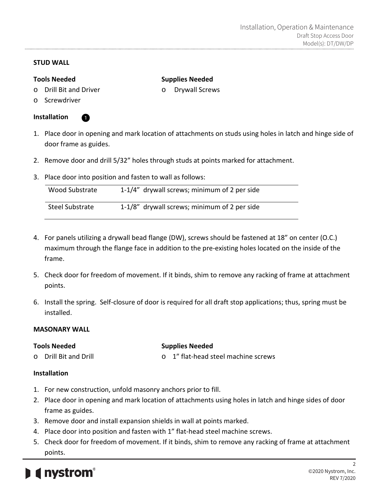#### **STUD WALL**

#### **Tools Needed**

#### **Supplies Needed** o Drywall Screws

o Drill Bit and Driver

O

o Screwdriver

#### **Installation**

- 1. Place door in opening and mark location of attachments on studs using holes in latch and hinge side of door frame as guides.
- 2. Remove door and drill 5/32" holes through studs at points marked for attachment.
- 3. Place door into position and fasten to wall as follows:

| Wood Substrate  | 1-1/4" drywall screws; minimum of 2 per side |
|-----------------|----------------------------------------------|
| Steel Substrate | 1-1/8" drywall screws; minimum of 2 per side |

- 4. For panels utilizing a drywall bead flange (DW), screws should be fastened at 18" on center (O.C.) maximum through the flange face in addition to the pre-existing holes located on the inside of the frame.
- 5. Check door for freedom of movement. If it binds, shim to remove any racking of frame at attachment points.
- 6. Install the spring. Self-closure of door is required for all draft stop applications; thus, spring must be installed.

#### **MASONARY WALL**

| <b>Tools Needed</b> |                       | <b>Supplies Needed</b> |                                     |
|---------------------|-----------------------|------------------------|-------------------------------------|
|                     | o Drill Bit and Drill |                        | o 1" flat-head steel machine screws |

#### **Installation**

- 1. For new construction, unfold masonry anchors prior to fill.
- 2. Place door in opening and mark location of attachments using holes in latch and hinge sides of door frame as guides.
- 3. Remove door and install expansion shields in wall at points marked.
- 4. Place door into position and fasten with 1" flat-head steel machine screws.
- 5. Check door for freedom of movement. If it binds, shim to remove any racking of frame at attachment points.

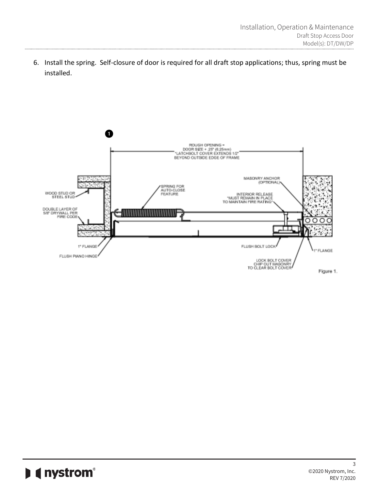6. Install the spring. Self-closure of door is required for all draft stop applications; thus, spring must be installed.